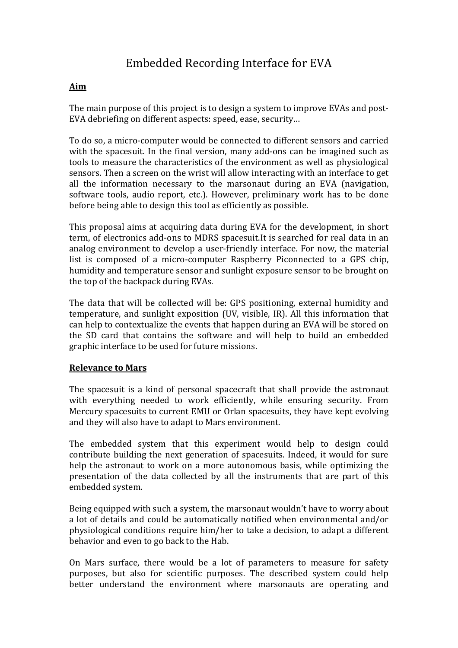# Embedded Recording Interface for EVA

## **Aim**

The main purpose of this project is to design a system to improve EVAs and post-EVA debriefing on different aspects: speed, ease, security…

To do so, a micro-computer would be connected to different sensors and carried with the spacesuit. In the final version, many add-ons can be imagined such as tools to measure the characteristics of the environment as well as physiological sensors. Then a screen on the wrist will allow interacting with an interface to get all the information necessary to the marsonaut during an EVA (navigation, software tools, audio report, etc.). However, preliminary work has to be done before being able to design this tool as efficiently as possible.

This proposal aims at acquiring data during EVA for the development, in short term, of electronics add-ons to MDRS spacesuit.It is searched for real data in an analog environment to develop a user-friendly interface. For now, the material list is composed of a micro-computer Raspberry Piconnected to a GPS chip, humidity and temperature sensor and sunlight exposure sensor to be brought on the top of the backpack during EVAs.

The data that will be collected will be: GPS positioning, external humidity and temperature, and sunlight exposition (UV, visible, IR). All this information that can help to contextualize the events that happen during an EVA will be stored on the SD card that contains the software and will help to build an embedded graphic interface to be used for future missions.

#### **Relevance to Mars**

The spacesuit is a kind of personal spacecraft that shall provide the astronaut with everything needed to work efficiently, while ensuring security. From Mercury spacesuits to current EMU or Orlan spacesuits, they have kept evolving and they will also have to adapt to Mars environment.

The embedded system that this experiment would help to design could contribute building the next generation of spacesuits. Indeed, it would for sure help the astronaut to work on a more autonomous basis, while optimizing the presentation of the data collected by all the instruments that are part of this embedded system.

Being equipped with such a system, the marsonaut wouldn't have to worry about a lot of details and could be automatically notified when environmental and/or physiological conditions require him/her to take a decision, to adapt a different behavior and even to go back to the Hab.

On Mars surface, there would be a lot of parameters to measure for safety purposes, but also for scientific purposes. The described system could help better understand the environment where marsonauts are operating and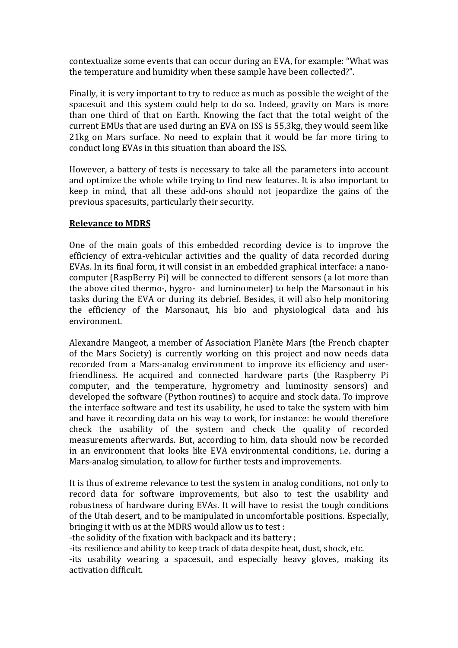contextualize some events that can occur during an EVA, for example: "What was the temperature and humidity when these sample have been collected?".

Finally, it is very important to try to reduce as much as possible the weight of the spacesuit and this system could help to do so. Indeed, gravity on Mars is more than one third of that on Earth. Knowing the fact that the total weight of the current EMUs that are used during an EVA on ISS is 55,3kg, they would seem like 21kg on Mars surface. No need to explain that it would be far more tiring to conduct long EVAs in this situation than aboard the ISS.

However, a battery of tests is necessary to take all the parameters into account and optimize the whole while trying to find new features. It is also important to keep in mind, that all these add-ons should not jeopardize the gains of the previous spacesuits, particularly their security.

#### **Relevance to MDRS**

One of the main goals of this embedded recording device is to improve the efficiency of extra-vehicular activities and the quality of data recorded during EVAs. In its final form, it will consist in an embedded graphical interface: a nanocomputer (RaspBerry Pi) will be connected to different sensors (a lot more than the above cited thermo-, hygro- and luminometer) to help the Marsonaut in his tasks during the EVA or during its debrief. Besides, it will also help monitoring the efficiency of the Marsonaut, his bio and physiological data and his environment.

Alexandre Mangeot, a member of Association Planète Mars (the French chapter of the Mars Society) is currently working on this project and now needs data recorded from a Mars-analog environment to improve its efficiency and userfriendliness. He acquired and connected hardware parts (the Raspberry Pi computer, and the temperature, hygrometry and luminosity sensors) and developed the software (Python routines) to acquire and stock data. To improve the interface software and test its usability, he used to take the system with him and have it recording data on his way to work, for instance: he would therefore check the usability of the system and check the quality of recorded measurements afterwards. But, according to him, data should now be recorded in an environment that looks like EVA environmental conditions, i.e. during a Mars-analog simulation, to allow for further tests and improvements.

It is thus of extreme relevance to test the system in analog conditions, not only to record data for software improvements, but also to test the usability and robustness of hardware during EVAs. It will have to resist the tough conditions of the Utah desert, and to be manipulated in uncomfortable positions. Especially, bringing it with us at the MDRS would allow us to test :

-the solidity of the fixation with backpack and its battery ;

-its resilience and ability to keep track of data despite heat, dust, shock, etc.

-its usability wearing a spacesuit, and especially heavy gloves, making its activation difficult.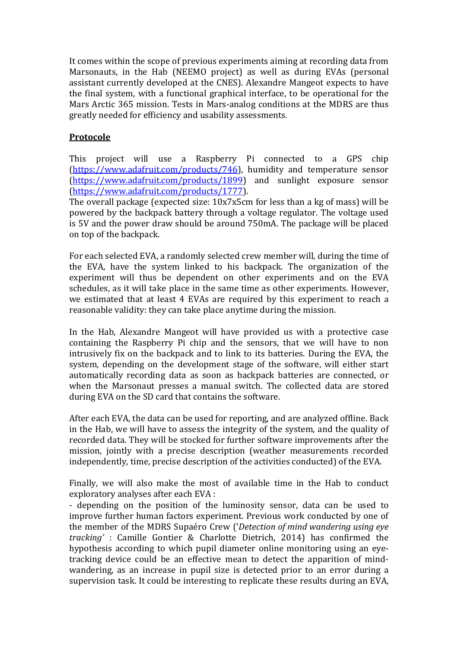It comes within the scope of previous experiments aiming at recording data from Marsonauts, in the Hab (NEEMO project) as well as during EVAs (personal assistant currently developed at the CNES). Alexandre Mangeot expects to have the final system, with a functional graphical interface, to be operational for the Mars Arctic 365 mission. Tests in Mars-analog conditions at the MDRS are thus greatly needed for efficiency and usability assessments.

### **Protocole**

This project will use a Raspberry Pi connected to a GPS chip (https://www.adafruit.com/products/746), humidity and temperature sensor (https://www.adafruit.com/products/1899) and sunlight exposure sensor (https://www.adafruit.com/products/1777).

The overall package (expected size: 10x7x5cm for less than a kg of mass) will be powered by the backpack battery through a voltage regulator. The voltage used is 5V and the power draw should be around 750mA. The package will be placed on top of the backpack.

For each selected EVA, a randomly selected crew member will, during the time of the EVA, have the system linked to his backpack. The organization of the experiment will thus be dependent on other experiments and on the EVA schedules, as it will take place in the same time as other experiments. However, we estimated that at least 4 EVAs are required by this experiment to reach a reasonable validity: they can take place anytime during the mission.

In the Hab, Alexandre Mangeot will have provided us with a protective case containing the Raspberry Pi chip and the sensors, that we will have to non intrusively fix on the backpack and to link to its batteries. During the EVA, the system, depending on the development stage of the software, will either start automatically recording data as soon as backpack batteries are connected, or when the Marsonaut presses a manual switch. The collected data are stored during EVA on the SD card that contains the software.

After each EVA, the data can be used for reporting, and are analyzed offline. Back in the Hab, we will have to assess the integrity of the system, and the quality of recorded data. They will be stocked for further software improvements after the mission, jointly with a precise description (weather measurements recorded independently, time, precise description of the activities conducted) of the EVA.

Finally, we will also make the most of available time in the Hab to conduct exploratory analyses after each EVA :

- depending on the position of the luminosity sensor, data can be used to improve further human factors experiment. Previous work conducted by one of the member of the MDRS Supaéro Crew ('*Detection of mind wandering using eye tracking'* : Camille Gontier & Charlotte Dietrich, 2014) has confirmed the hypothesis according to which pupil diameter online monitoring using an eyetracking device could be an effective mean to detect the apparition of mindwandering, as an increase in pupil size is detected prior to an error during a supervision task. It could be interesting to replicate these results during an EVA,